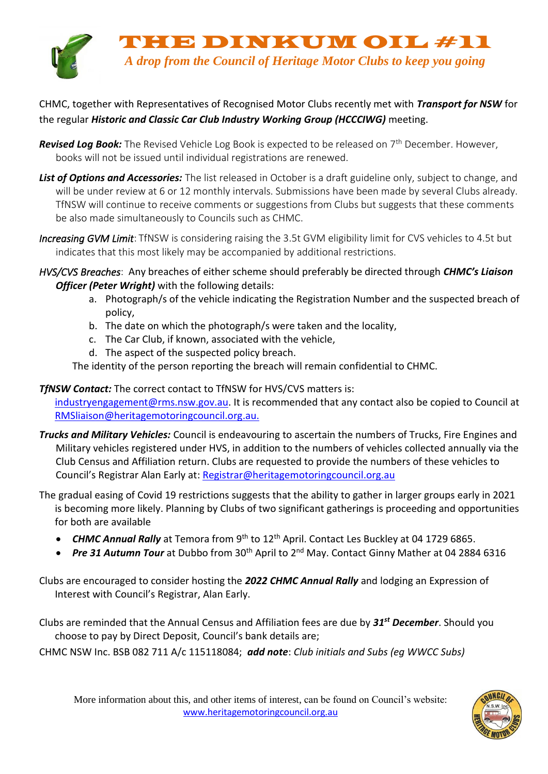

## CHMC, together with Representatives of Recognised Motor Clubs recently met with *Transport for NSW* for the regular *Historic and Classic Car Club Industry Working Group (HCCCIWG)* meeting.

- **Revised Log Book:** The Revised Vehicle Log Book is expected to be released on 7<sup>th</sup> December. However, books will not be issued until individual registrations are renewed.
- *List of Options and Accessories:* The list released in October is a draft guideline only, subject to change, and will be under review at 6 or 12 monthly intervals. Submissions have been made by several Clubs already. TfNSW will continue to receive comments or suggestions from Clubs but suggests that these comments be also made simultaneously to Councils such as CHMC.
- *Increasing GVM Limit*: TfNSW is considering raising the 3.5t GVM eligibility limit for CVS vehicles to 4.5t but indicates that this most likely may be accompanied by additional restrictions.
- *HVS/CVS Breaches*: Any breaches of either scheme should preferably be directed through *CHMC's Liaison Officer (Peter Wright)* with the following details:
	- a. Photograph/s of the vehicle indicating the Registration Number and the suspected breach of policy,
	- b. The date on which the photograph/s were taken and the locality,
	- c. The Car Club, if known, associated with the vehicle,
	- d. The aspect of the suspected policy breach.

The identity of the person reporting the breach will remain confidential to CHMC.

## *TfNSW Contact:* The correct contact to TfNSW for HVS/CVS matters is:

[industryengagement@rms.nsw.gov.au.](mailto:industryengagement@rms.nsw.gov.au) It is recommended that any contact also be copied to Council at RMSliaison@heritagemotoringcouncil.org.au.

- *Trucks and Military Vehicles:* Council is endeavouring to ascertain the numbers of Trucks, Fire Engines and Military vehicles registered under HVS, in addition to the numbers of vehicles collected annually via the Club Census and Affiliation return. Clubs are requested to provide the numbers of these vehicles to Council's Registrar Alan Early at: Registrar@heritagemotoringcouncil.org.au
- The gradual easing of Covid 19 restrictions suggests that the ability to gather in larger groups early in 2021 is becoming more likely. Planning by Clubs of two significant gatherings is proceeding and opportunities for both are available
	- **CHMC Annual Rally** at Temora from 9<sup>th</sup> to 12<sup>th</sup> April. Contact Les Buckley at 04 1729 6865.
	- *Pre 31 Autumn Tour* at Dubbo from 30<sup>th</sup> April to 2<sup>nd</sup> May. Contact Ginny Mather at 04 2884 6316

Clubs are encouraged to consider hosting the *2022 CHMC Annual Rally* and lodging an Expression of Interest with Council's Registrar, Alan Early.

Clubs are reminded that the Annual Census and Affiliation fees are due by *31st December*. Should you choose to pay by Direct Deposit, Council's bank details are;

CHMC NSW Inc. BSB 082 711 A/c 115118084; *add note*: *Club initials and Subs (eg WWCC Subs)*